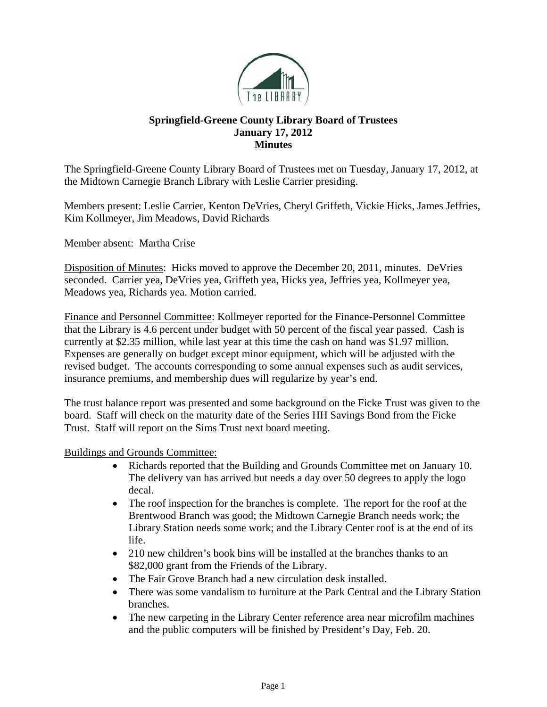

## **Springfield-Greene County Library Board of Trustees January 17, 2012 Minutes**

The Springfield-Greene County Library Board of Trustees met on Tuesday, January 17, 2012, at the Midtown Carnegie Branch Library with Leslie Carrier presiding.

Members present: Leslie Carrier, Kenton DeVries, Cheryl Griffeth, Vickie Hicks, James Jeffries, Kim Kollmeyer, Jim Meadows, David Richards

Member absent: Martha Crise

Disposition of Minutes: Hicks moved to approve the December 20, 2011, minutes. DeVries seconded. Carrier yea, DeVries yea, Griffeth yea, Hicks yea, Jeffries yea, Kollmeyer yea, Meadows yea, Richards yea. Motion carried.

Finance and Personnel Committee: Kollmeyer reported for the Finance-Personnel Committee that the Library is 4.6 percent under budget with 50 percent of the fiscal year passed. Cash is currently at \$2.35 million, while last year at this time the cash on hand was \$1.97 million. Expenses are generally on budget except minor equipment, which will be adjusted with the revised budget. The accounts corresponding to some annual expenses such as audit services, insurance premiums, and membership dues will regularize by year's end.

The trust balance report was presented and some background on the Ficke Trust was given to the board. Staff will check on the maturity date of the Series HH Savings Bond from the Ficke Trust. Staff will report on the Sims Trust next board meeting.

Buildings and Grounds Committee:

- Richards reported that the Building and Grounds Committee met on January 10. The delivery van has arrived but needs a day over 50 degrees to apply the logo decal.
- The roof inspection for the branches is complete. The report for the roof at the Brentwood Branch was good; the Midtown Carnegie Branch needs work; the Library Station needs some work; and the Library Center roof is at the end of its life.
- 210 new children's book bins will be installed at the branches thanks to an \$82,000 grant from the Friends of the Library.
- The Fair Grove Branch had a new circulation desk installed.
- There was some vandalism to furniture at the Park Central and the Library Station branches.
- The new carpeting in the Library Center reference area near microfilm machines and the public computers will be finished by President's Day, Feb. 20.